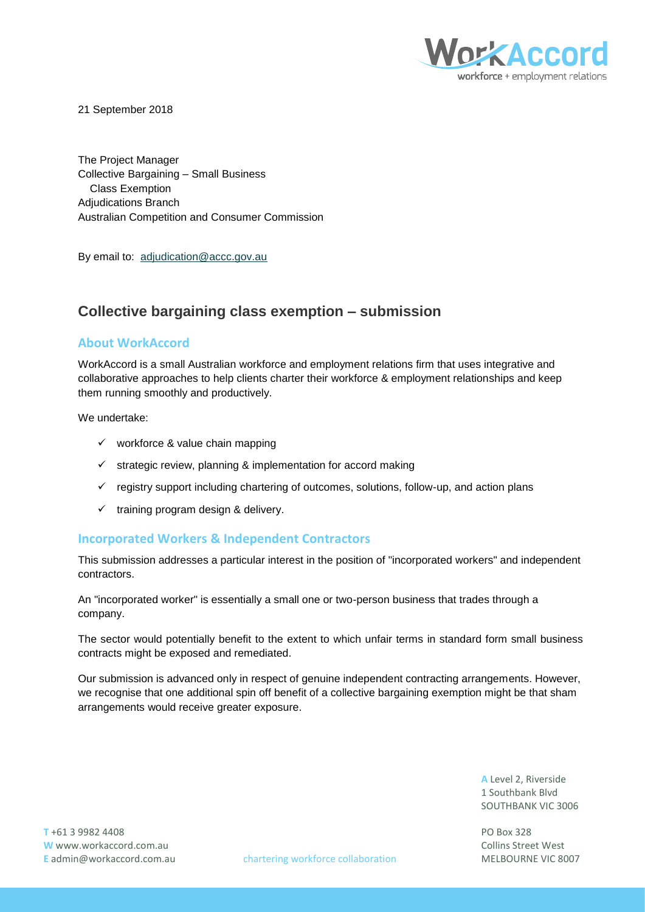**orkAccord** workforce + employment relations

21 September 2018

The Project Manager Collective Bargaining – Small Business Class Exemption Adjudications Branch Australian Competition and Consumer Commission

By email to: [adjudication@accc.gov.au](mailto:adjudication@accc.gov.au)

# **Collective bargaining class exemption – submission**

## **About WorkAccord**

WorkAccord is a small Australian workforce and employment relations firm that uses integrative and collaborative approaches to help clients charter their workforce & employment relationships and keep them running smoothly and productively.

We undertake:

- $\checkmark$  workforce & value chain mapping
- $\checkmark$  strategic review, planning & implementation for accord making
- $\checkmark$  registry support including chartering of outcomes, solutions, follow-up, and action plans
- $\checkmark$  training program design & delivery.

### **Incorporated Workers & Independent Contractors**

This submission addresses a particular interest in the position of "incorporated workers" and independent contractors.

An "incorporated worker" is essentially a small one or two-person business that trades through a company.

The sector would potentially benefit to the extent to which unfair terms in standard form small business contracts might be exposed and remediated.

Our submission is advanced only in respect of genuine independent contracting arrangements. However, we recognise that one additional spin off benefit of a collective bargaining exemption might be that sham arrangements would receive greater exposure.

> **A** Level 2, Riverside 1 Southbank Blvd SOUTHBANK VIC 3006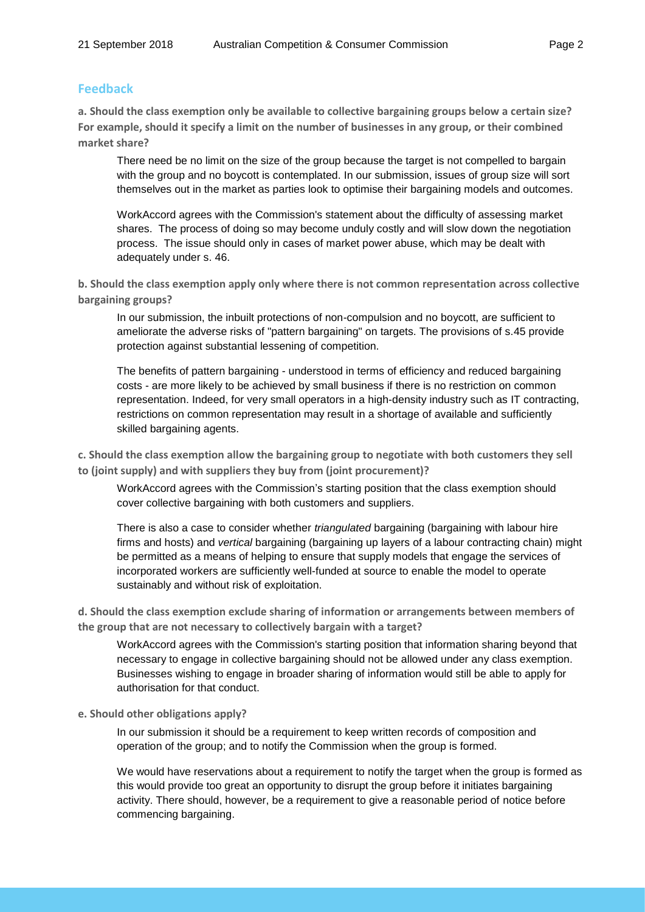### **Feedback**

**a. Should the class exemption only be available to collective bargaining groups below a certain size? For example, should it specify a limit on the number of businesses in any group, or their combined market share?**

There need be no limit on the size of the group because the target is not compelled to bargain with the group and no boycott is contemplated. In our submission, issues of group size will sort themselves out in the market as parties look to optimise their bargaining models and outcomes.

WorkAccord agrees with the Commission's statement about the difficulty of assessing market shares. The process of doing so may become unduly costly and will slow down the negotiation process. The issue should only in cases of market power abuse, which may be dealt with adequately under s. 46.

**b. Should the class exemption apply only where there is not common representation across collective bargaining groups?**

In our submission, the inbuilt protections of non-compulsion and no boycott, are sufficient to ameliorate the adverse risks of "pattern bargaining" on targets. The provisions of s.45 provide protection against substantial lessening of competition.

The benefits of pattern bargaining - understood in terms of efficiency and reduced bargaining costs - are more likely to be achieved by small business if there is no restriction on common representation. Indeed, for very small operators in a high-density industry such as IT contracting, restrictions on common representation may result in a shortage of available and sufficiently skilled bargaining agents.

**c. Should the class exemption allow the bargaining group to negotiate with both customers they sell to (joint supply) and with suppliers they buy from (joint procurement)?**

WorkAccord agrees with the Commission's starting position that the class exemption should cover collective bargaining with both customers and suppliers.

There is also a case to consider whether *triangulated* bargaining (bargaining with labour hire firms and hosts) and *vertical* bargaining (bargaining up layers of a labour contracting chain) might be permitted as a means of helping to ensure that supply models that engage the services of incorporated workers are sufficiently well-funded at source to enable the model to operate sustainably and without risk of exploitation.

**d. Should the class exemption exclude sharing of information or arrangements between members of the group that are not necessary to collectively bargain with a target?**

WorkAccord agrees with the Commission's starting position that information sharing beyond that necessary to engage in collective bargaining should not be allowed under any class exemption. Businesses wishing to engage in broader sharing of information would still be able to apply for authorisation for that conduct.

#### **e. Should other obligations apply?**

In our submission it should be a requirement to keep written records of composition and operation of the group; and to notify the Commission when the group is formed.

We would have reservations about a requirement to notify the target when the group is formed as this would provide too great an opportunity to disrupt the group before it initiates bargaining activity. There should, however, be a requirement to give a reasonable period of notice before commencing bargaining.